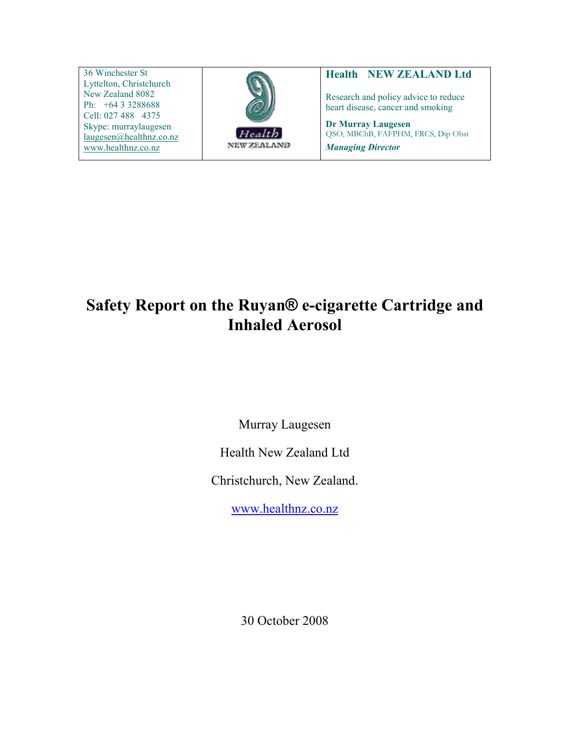36 Winchester St Lyttelton, Christchurch New Zealand 8082 Ph: +64 3 3288688 Cell: 027 488 4375 Skype: murraylaugesen laugesen@healthnz.co.nz www.healthnz.co.nz



## Health NEW ZEALAND Ltd

Research and policy advice to reduce heart disease, cancer and smoking

Dr Murray Laugesen QSO, MBChB, FAFPHM, FRCS, Dip Obst Managing Director

# Safety Report on the Ruyan® e-cigarette Cartridge and Inhaled Aerosol

Murray Laugesen

Health New Zealand Ltd

Christchurch, New Zealand.

www.healthnz.co.nz

30 October 2008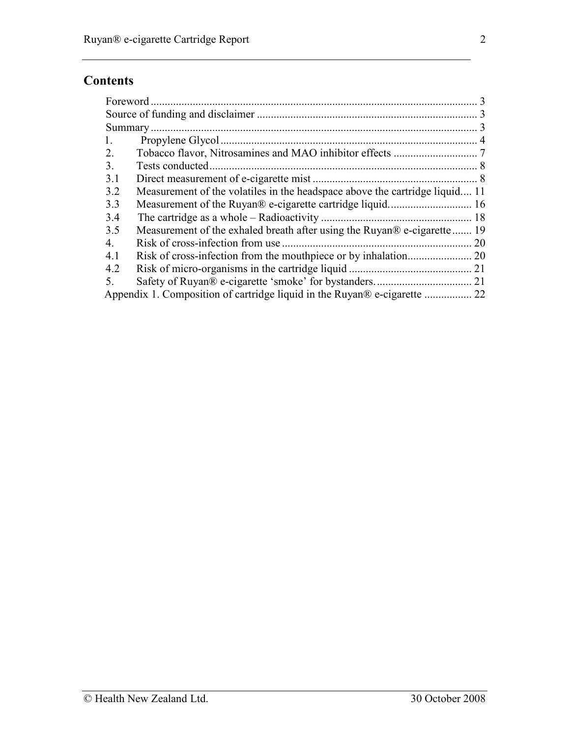# **Contents**

| 1.  |                                                                             |    |
|-----|-----------------------------------------------------------------------------|----|
| 2.  |                                                                             |    |
| 3.  |                                                                             |    |
| 3.1 |                                                                             |    |
| 3.2 | Measurement of the volatiles in the headspace above the cartridge liquid 11 |    |
| 3.3 |                                                                             |    |
| 3.4 |                                                                             |    |
| 3.5 | Measurement of the exhaled breath after using the Ruyan® e-cigarette 19     |    |
| 4.  |                                                                             | 20 |
| 4.1 |                                                                             |    |
| 4.2 |                                                                             | 21 |
| 5.  |                                                                             |    |
|     | Appendix 1. Composition of cartridge liquid in the Ruyan® e-cigarette  22   |    |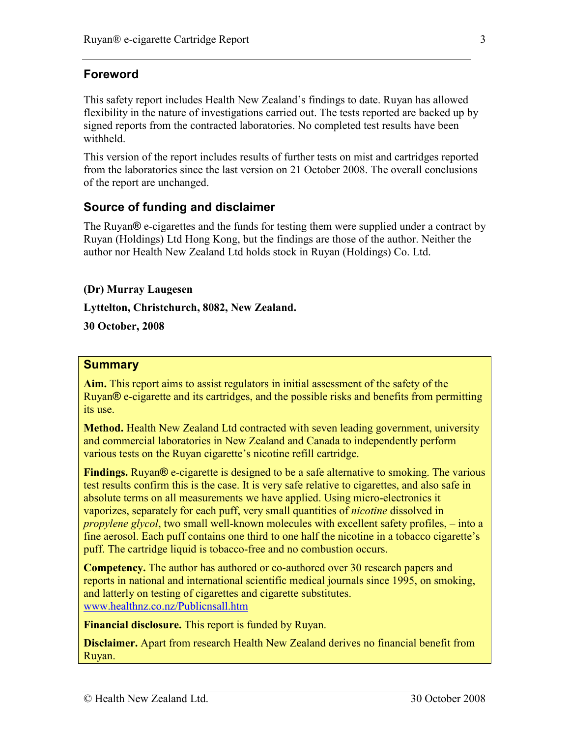# Foreword

This safety report includes Health New Zealand's findings to date. Ruyan has allowed flexibility in the nature of investigations carried out. The tests reported are backed up by signed reports from the contracted laboratories. No completed test results have been withheld.

This version of the report includes results of further tests on mist and cartridges reported from the laboratories since the last version on 21 October 2008. The overall conclusions of the report are unchanged.

# Source of funding and disclaimer

The Ruyan® e-cigarettes and the funds for testing them were supplied under a contract by Ruyan (Holdings) Ltd Hong Kong, but the findings are those of the author. Neither the author nor Health New Zealand Ltd holds stock in Ruyan (Holdings) Co. Ltd.

#### (Dr) Murray Laugesen

Lyttelton, Christchurch, 8082, New Zealand.

30 October, 2008

## **Summary**

Aim. This report aims to assist regulators in initial assessment of the safety of the Ruyan® e-cigarette and its cartridges, and the possible risks and benefits from permitting its use.

Method. Health New Zealand Ltd contracted with seven leading government, university and commercial laboratories in New Zealand and Canada to independently perform various tests on the Ruyan cigarette's nicotine refill cartridge.

Findings. Ruyan<sup>®</sup> e-cigarette is designed to be a safe alternative to smoking. The various test results confirm this is the case. It is very safe relative to cigarettes, and also safe in absolute terms on all measurements we have applied. Using micro-electronics it vaporizes, separately for each puff, very small quantities of nicotine dissolved in propylene glycol, two small well-known molecules with excellent safety profiles, – into a fine aerosol. Each puff contains one third to one half the nicotine in a tobacco cigarette's puff. The cartridge liquid is tobacco-free and no combustion occurs.

Competency. The author has authored or co-authored over 30 research papers and reports in national and international scientific medical journals since 1995, on smoking, and latterly on testing of cigarettes and cigarette substitutes. www.healthnz.co.nz/Publicnsall.htm

Financial disclosure. This report is funded by Ruyan.

Disclaimer. Apart from research Health New Zealand derives no financial benefit from Ruyan.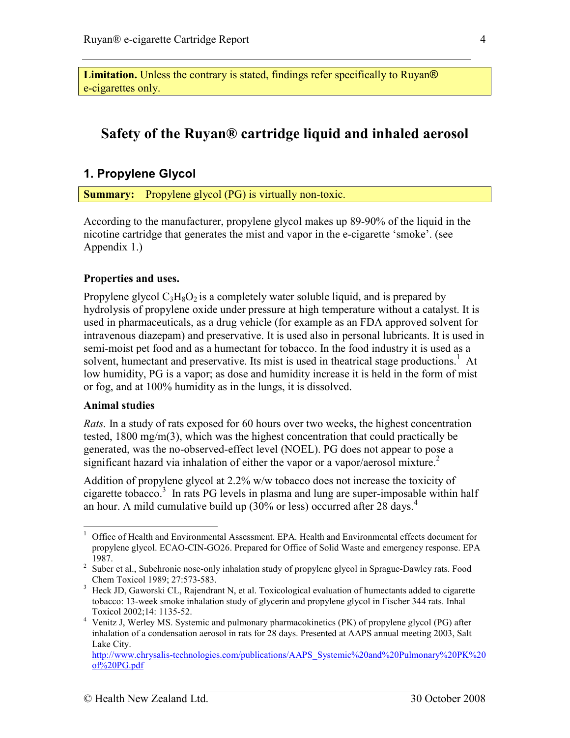Limitation. Unless the contrary is stated, findings refer specifically to Ruyan<sup>®</sup> e-cigarettes only.

# Safety of the Ruyan® cartridge liquid and inhaled aerosol

#### 1. Propylene Glycol

Summary: Propylene glycol (PG) is virtually non-toxic.

According to the manufacturer, propylene glycol makes up 89-90% of the liquid in the nicotine cartridge that generates the mist and vapor in the e-cigarette 'smoke'. (see Appendix 1.)

#### Properties and uses.

Propylene glycol  $C_3H_8O_2$  is a completely water soluble liquid, and is prepared by hydrolysis of propylene oxide under pressure at high temperature without a catalyst. It is used in pharmaceuticals, as a drug vehicle (for example as an FDA approved solvent for intravenous diazepam) and preservative. It is used also in personal lubricants. It is used in semi-moist pet food and as a humectant for tobacco. In the food industry it is used as a solvent, humectant and preservative. Its mist is used in theatrical stage productions.<sup>1</sup> At low humidity, PG is a vapor; as dose and humidity increase it is held in the form of mist or fog, and at 100% humidity as in the lungs, it is dissolved.

#### Animal studies

<u>.</u>

Rats. In a study of rats exposed for 60 hours over two weeks, the highest concentration tested, 1800 mg/m(3), which was the highest concentration that could practically be generated, was the no-observed-effect level (NOEL). PG does not appear to pose a significant hazard via inhalation of either the vapor or a vapor/aerosol mixture.<sup>2</sup>

Addition of propylene glycol at 2.2% w/w tobacco does not increase the toxicity of cigarette tobacco.<sup>3</sup> In rats PG levels in plasma and lung are super-imposable within half an hour. A mild cumulative build up  $(30\% \text{ or } \text{less})$  occurred after 28 days.<sup>4</sup>

<sup>&</sup>lt;sup>1</sup> Office of Health and Environmental Assessment. EPA. Health and Environmental effects document for propylene glycol. ECAO-CIN-GO26. Prepared for Office of Solid Waste and emergency response. EPA 1987.

<sup>&</sup>lt;sup>2</sup> Suber et al., Subchronic nose-only inhalation study of propylene glycol in Sprague-Dawley rats. Food Chem Toxicol 1989; 27:573-583.

<sup>&</sup>lt;sup>3</sup> Heck JD, Gaworski CL, Rajendrant N, et al. Toxicological evaluation of humectants added to cigarette tobacco: 13-week smoke inhalation study of glycerin and propylene glycol in Fischer 344 rats. Inhal Toxicol 2002;14: 1135-52.

<sup>&</sup>lt;sup>4</sup> Venitz J, Werley MS. Systemic and pulmonary pharmacokinetics (PK) of propylene glycol (PG) after inhalation of a condensation aerosol in rats for 28 days. Presented at AAPS annual meeting 2003, Salt Lake City.

http://www.chrysalis-technologies.com/publications/AAPS\_Systemic%20and%20Pulmonary%20PK%20 of%20PG.pdf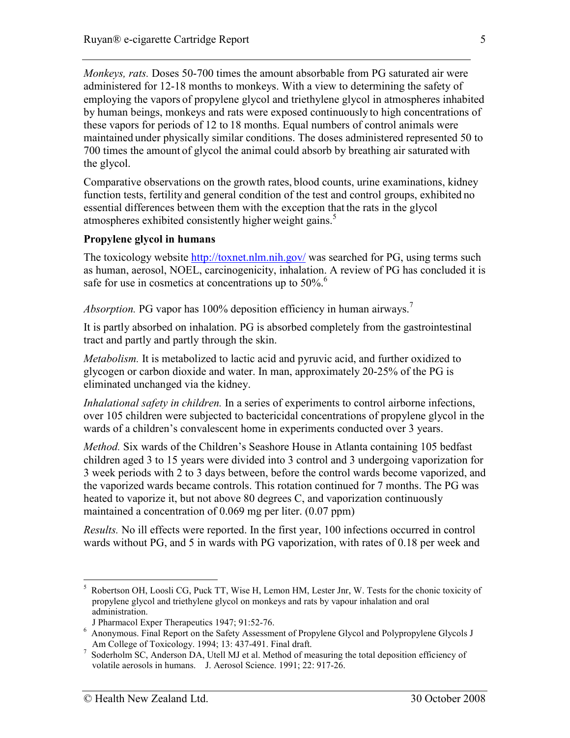Monkeys, rats. Doses 50-700 times the amount absorbable from PG saturated air were administered for 12-18 months to monkeys. With a view to determining the safety of employing the vapors of propylene glycol and triethylene glycol in atmospheres inhabited by human beings, monkeys and rats were exposed continuously to high concentrations of these vapors for periods of 12 to 18 months. Equal numbers of control animals were maintained under physically similar conditions. The doses administered represented 50 to 700 times the amount of glycol the animal could absorb by breathing air saturated with the glycol.

Comparative observations on the growth rates, blood counts, urine examinations, kidney function tests, fertility and general condition of the test and control groups, exhibited no essential differences between them with the exception that the rats in the glycol atmospheres exhibited consistently higher weight gains.<sup>5</sup>

#### Propylene glycol in humans

The toxicology website http://toxnet.nlm.nih.gov/ was searched for PG, using terms such as human, aerosol, NOEL, carcinogenicity, inhalation. A review of PG has concluded it is safe for use in cosmetics at concentrations up to 50%.<sup>6</sup>

Absorption. PG vapor has 100% deposition efficiency in human airways.<sup>7</sup>

It is partly absorbed on inhalation. PG is absorbed completely from the gastrointestinal tract and partly and partly through the skin.

Metabolism. It is metabolized to lactic acid and pyruvic acid, and further oxidized to glycogen or carbon dioxide and water. In man, approximately 20-25% of the PG is eliminated unchanged via the kidney.

Inhalational safety in children. In a series of experiments to control airborne infections, over 105 children were subjected to bactericidal concentrations of propylene glycol in the wards of a children's convalescent home in experiments conducted over 3 years.

Method. Six wards of the Children's Seashore House in Atlanta containing 105 bedfast children aged 3 to 15 years were divided into 3 control and 3 undergoing vaporization for 3 week periods with 2 to 3 days between, before the control wards become vaporized, and the vaporized wards became controls. This rotation continued for 7 months. The PG was heated to vaporize it, but not above 80 degrees C, and vaporization continuously maintained a concentration of 0.069 mg per liter. (0.07 ppm)

Results. No ill effects were reported. In the first year, 100 infections occurred in control wards without PG, and 5 in wards with PG vaporization, with rates of 0.18 per week and

<sup>-</sup>5 Robertson OH, Loosli CG, Puck TT, Wise H, Lemon HM, Lester Jnr, W. Tests for the chonic toxicity of propylene glycol and triethylene glycol on monkeys and rats by vapour inhalation and oral administration.

J Pharmacol Exper Therapeutics 1947; 91:52-76.

<sup>&</sup>lt;sup>6</sup> Anonymous. Final Report on the Safety Assessment of Propylene Glycol and Polypropylene Glycols J Am College of Toxicology. 1994; 13: 437-491. Final draft.

 $^7$  Soderholm SC, Anderson DA, Utell MJ et al. Method of measuring the total deposition efficiency of volatile aerosols in humans. J. Aerosol Science. 1991; 22: 917-26.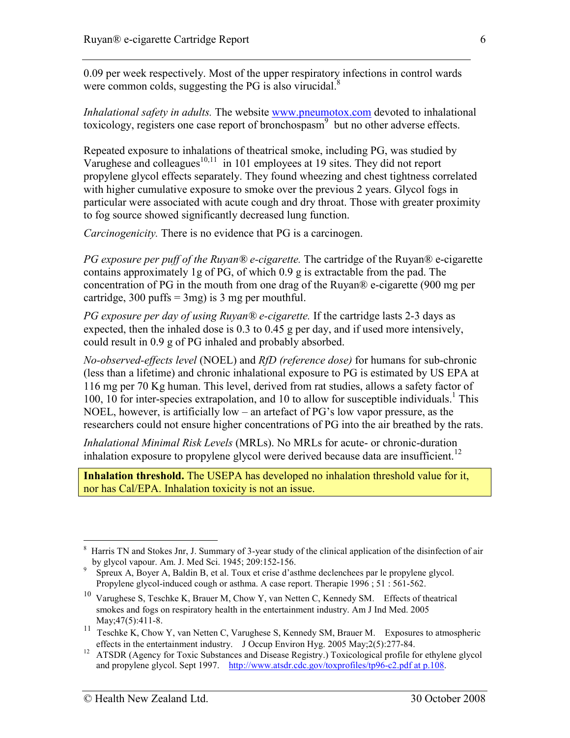0.09 per week respectively. Most of the upper respiratory infections in control wards were common colds, suggesting the PG is also virucidal. $8$ 

Inhalational safety in adults. The website www.pneumotox.com devoted to inhalational toxicology, registers one case report of bronchospasm<sup>9</sup> but no other adverse effects.

Repeated exposure to inhalations of theatrical smoke, including PG, was studied by Varughese and colleagues $10,11$  in 101 employees at 19 sites. They did not report propylene glycol effects separately. They found wheezing and chest tightness correlated with higher cumulative exposure to smoke over the previous 2 years. Glycol fogs in particular were associated with acute cough and dry throat. Those with greater proximity to fog source showed significantly decreased lung function.

Carcinogenicity. There is no evidence that PG is a carcinogen.

PG exposure per puff of the Ruyan® e-cigarette. The cartridge of the Ruyan® e-cigarette contains approximately 1g of PG, of which 0.9 g is extractable from the pad. The concentration of PG in the mouth from one drag of the Ruyan® e-cigarette (900 mg per cartridge, 300 puffs  $=$  3mg) is 3 mg per mouthful.

PG exposure per day of using Ruyan® e-cigarette. If the cartridge lasts 2-3 days as expected, then the inhaled dose is 0.3 to 0.45 g per day, and if used more intensively, could result in 0.9 g of PG inhaled and probably absorbed.

No-observed-effects level (NOEL) and RfD (reference dose) for humans for sub-chronic (less than a lifetime) and chronic inhalational exposure to PG is estimated by US EPA at 116 mg per 70 Kg human. This level, derived from rat studies, allows a safety factor of 100, 10 for inter-species extrapolation, and 10 to allow for susceptible individuals.<sup>1</sup> This NOEL, however, is artificially low – an artefact of PG's low vapor pressure, as the researchers could not ensure higher concentrations of PG into the air breathed by the rats.

Inhalational Minimal Risk Levels (MRLs). No MRLs for acute- or chronic-duration inhalation exposure to propylene glycol were derived because data are insufficient.<sup>12</sup>

Inhalation threshold. The USEPA has developed no inhalation threshold value for it, nor has Cal/EPA. Inhalation toxicity is not an issue.

<sup>-</sup>8 Harris TN and Stokes Jnr, J. Summary of 3-year study of the clinical application of the disinfection of air by glycol vapour. Am. J. Med Sci. 1945; 209:152-156.

<sup>9</sup> Spreux A, Boyer A, Baldin B, et al. Toux et crise d'asthme declenchees par le propylene glycol. Propylene glycol-induced cough or asthma. A case report. Therapie 1996 ; 51 : 561-562.

<sup>&</sup>lt;sup>10</sup> Varughese S, Teschke K, Brauer M, Chow Y, van Netten C, Kennedy SM. Effects of theatrical smokes and fogs on respiratory health in the entertainment industry. Am J Ind Med. 2005 May; 47(5): 411-8.

<sup>11</sup> Teschke K, Chow Y, van Netten C, Varughese S, Kennedy SM, Brauer M. Exposures to atmospheric effects in the entertainment industry. J Occup Environ Hyg. 2005 May;2(5):277-84.

<sup>&</sup>lt;sup>12</sup> ATSDR (Agency for Toxic Substances and Disease Registry.) Toxicological profile for ethylene glycol and propylene glycol. Sept 1997. http://www.atsdr.cdc.gov/toxprofiles/tp96-c2.pdf at p.108.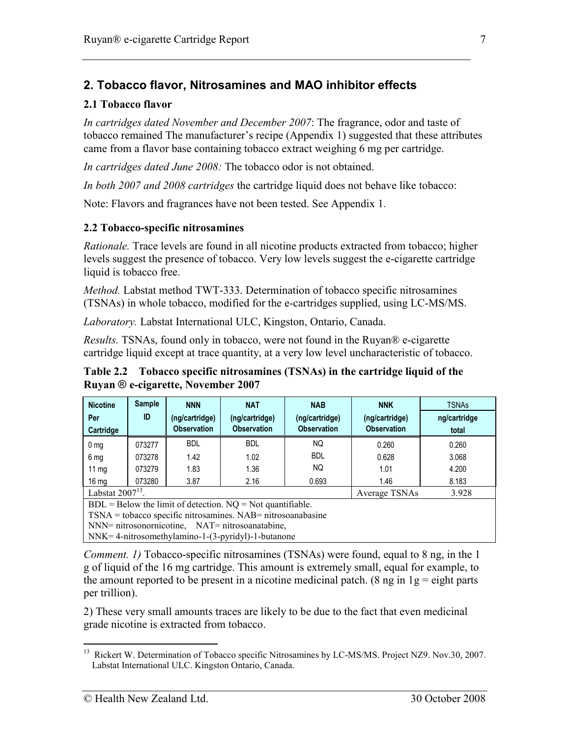# 2. Tobacco flavor, Nitrosamines and MAO inhibitor effects

#### 2.1 Tobacco flavor

In cartridges dated November and December 2007: The fragrance, odor and taste of tobacco remained The manufacturer's recipe (Appendix 1) suggested that these attributes came from a flavor base containing tobacco extract weighing 6 mg per cartridge.

In cartridges dated June 2008: The tobacco odor is not obtained.

In both 2007 and 2008 cartridges the cartridge liquid does not behave like tobacco:

Note: Flavors and fragrances have not been tested. See Appendix 1.

#### 2.2 Tobacco-specific nitrosamines

Rationale. Trace levels are found in all nicotine products extracted from tobacco; higher levels suggest the presence of tobacco. Very low levels suggest the e-cigarette cartridge liquid is tobacco free.

Method. Labstat method TWT-333. Determination of tobacco specific nitrosamines (TSNAs) in whole tobacco, modified for the e-cartridges supplied, using LC-MS/MS.

Laboratory. Labstat International ULC, Kingston, Ontario, Canada.

Results. TSNAs, found only in tobacco, were not found in the Ruyan® e-cigarette cartridge liquid except at trace quantity, at a very low level uncharacteristic of tobacco.

Table 2.2 Tobacco specific nitrosamines (TSNAs) in the cartridge liquid of the Ruyan ® e-cigarette, November 2007

| <b>Nicotine</b>                        | Sample | <b>NNN</b>         | <b>NAT</b>         | <b>NAB</b>         | <b>NNK</b>         | <b>TSNAs</b> |
|----------------------------------------|--------|--------------------|--------------------|--------------------|--------------------|--------------|
| Per                                    | ID     | (ng/cartridge)     | (ng/cartridge)     | (ng/cartridge)     | (ng/cartridge)     | ng/cartridge |
| Cartridge                              |        | <b>Observation</b> | <b>Observation</b> | <b>Observation</b> | <b>Observation</b> | total        |
| 0 <sub>mg</sub>                        | 073277 | <b>BDL</b>         | <b>BDL</b>         | <b>NQ</b>          | 0.260              | 0.260        |
| 6 mg                                   | 073278 | 1.42               | 1.02               | <b>BDL</b>         | 0.628              | 3.068        |
| $11 \text{ mg}$                        | 073279 | 1.83               | 1.36               | <b>NQ</b>          | 1.01               | 4.200        |
| 16 <sub>ma</sub>                       | 073280 | 3.87               | 2.16               | 0.693              | 1.46               | 8.183        |
| Labstat $2007^{13}$ .<br>Average TSNAs |        |                    |                    |                    | 3.928              |              |

 $BDL = Below$  the limit of detection.  $NO = Not$  quantifiable.

TSNA = tobacco specific nitrosamines. NAB= nitrosoanabasine

NNN= nitrosonornicotine, NAT= nitrosoanatabine,

NNK= 4-nitrosomethylamino-1-(3-pyridyl)-1-butanone

Comment. 1) Tobacco-specific nitrosamines (TSNAs) were found, equal to 8 ng, in the 1 g of liquid of the 16 mg cartridge. This amount is extremely small, equal for example, to the amount reported to be present in a nicotine medicinal patch. (8 ng in  $1g =$  eight parts per trillion).

2) These very small amounts traces are likely to be due to the fact that even medicinal grade nicotine is extracted from tobacco.

<sup>-</sup><sup>13</sup> Rickert W. Determination of Tobacco specific Nitrosamines by LC-MS/MS. Project NZ9. Nov.30, 2007. Labstat International ULC. Kingston Ontario, Canada.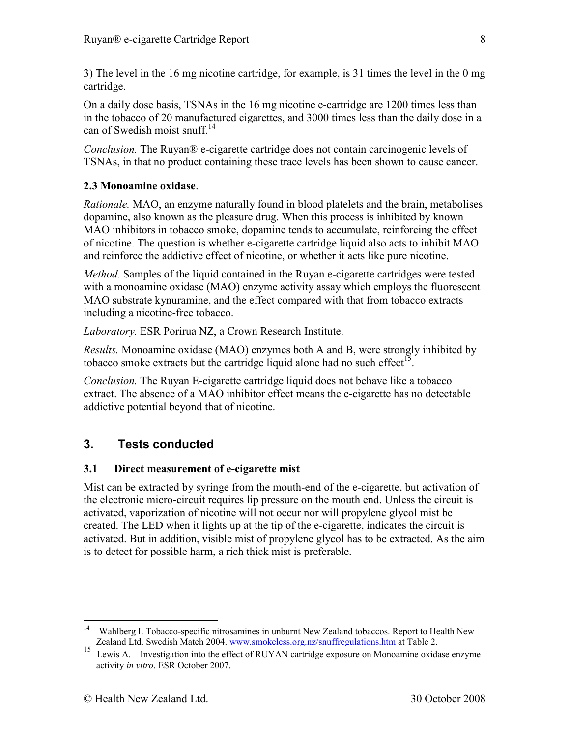3) The level in the 16 mg nicotine cartridge, for example, is 31 times the level in the 0 mg cartridge.

On a daily dose basis, TSNAs in the 16 mg nicotine e-cartridge are 1200 times less than in the tobacco of 20 manufactured cigarettes, and 3000 times less than the daily dose in a can of Swedish moist snuff.<sup>14</sup>

Conclusion. The Ruyan® e-cigarette cartridge does not contain carcinogenic levels of TSNAs, in that no product containing these trace levels has been shown to cause cancer.

## 2.3 Monoamine oxidase.

Rationale. MAO, an enzyme naturally found in blood platelets and the brain, metabolises dopamine, also known as the pleasure drug. When this process is inhibited by known MAO inhibitors in tobacco smoke, dopamine tends to accumulate, reinforcing the effect of nicotine. The question is whether e-cigarette cartridge liquid also acts to inhibit MAO and reinforce the addictive effect of nicotine, or whether it acts like pure nicotine.

*Method.* Samples of the liquid contained in the Ruyan e-cigarette cartridges were tested with a monoamine oxidase (MAO) enzyme activity assay which employs the fluorescent MAO substrate kynuramine, and the effect compared with that from tobacco extracts including a nicotine-free tobacco.

Laboratory. ESR Porirua NZ, a Crown Research Institute.

Results. Monoamine oxidase (MAO) enzymes both A and B, were strongly inhibited by tobacco smoke extracts but the cartridge liquid alone had no such effect<sup>15</sup>.

Conclusion. The Ruyan E-cigarette cartridge liquid does not behave like a tobacco extract. The absence of a MAO inhibitor effect means the e-cigarette has no detectable addictive potential beyond that of nicotine.

# 3. Tests conducted

#### 3.1 Direct measurement of e-cigarette mist

Mist can be extracted by syringe from the mouth-end of the e-cigarette, but activation of the electronic micro-circuit requires lip pressure on the mouth end. Unless the circuit is activated, vaporization of nicotine will not occur nor will propylene glycol mist be created. The LED when it lights up at the tip of the e-cigarette, indicates the circuit is activated. But in addition, visible mist of propylene glycol has to be extracted. As the aim is to detect for possible harm, a rich thick mist is preferable.

<u>.</u>

<sup>&</sup>lt;sup>14</sup> Wahlberg I. Tobacco-specific nitrosamines in unburnt New Zealand tobaccos. Report to Health New Zealand Ltd. Swedish Match 2004. www.smokeless.org.nz/snuffregulations.htm at Table 2.

<sup>&</sup>lt;sup>15</sup> Lewis A. Investigation into the effect of RUYAN cartridge exposure on Monoamine oxidase enzyme activity in vitro. ESR October 2007.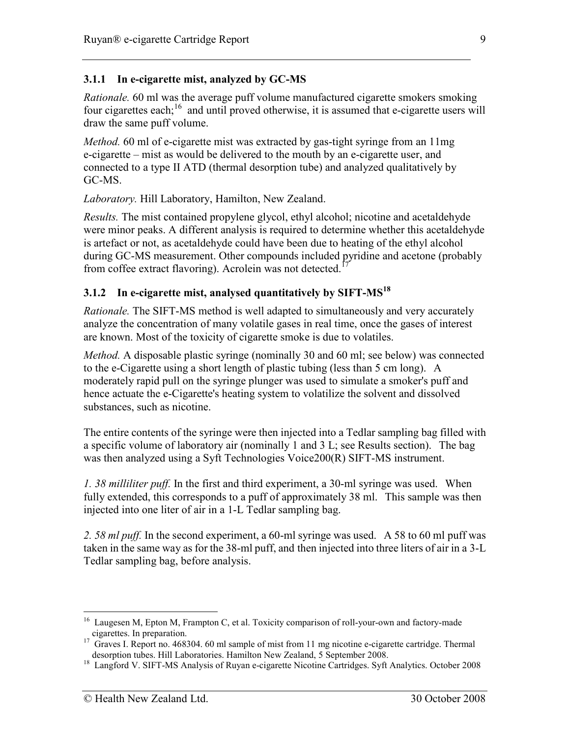### 3.1.1 In e-cigarette mist, analyzed by GC-MS

Rationale. 60 ml was the average puff volume manufactured cigarette smokers smoking four cigarettes each;<sup>16</sup> and until proved otherwise, it is assumed that e-cigarette users will draw the same puff volume.

Method. 60 ml of e-cigarette mist was extracted by gas-tight syringe from an 11mg e-cigarette – mist as would be delivered to the mouth by an e-cigarette user, and connected to a type II ATD (thermal desorption tube) and analyzed qualitatively by GC-MS.

Laboratory. Hill Laboratory, Hamilton, New Zealand.

Results. The mist contained propylene glycol, ethyl alcohol; nicotine and acetaldehyde were minor peaks. A different analysis is required to determine whether this acetaldehyde is artefact or not, as acetaldehyde could have been due to heating of the ethyl alcohol during GC-MS measurement. Other compounds included pyridine and acetone (probably from coffee extract flavoring). Acrolein was not detected.<sup>1</sup>

#### 3.1.2 In e-cigarette mist, analysed quantitatively by SIFT- $MS^{18}$

Rationale. The SIFT-MS method is well adapted to simultaneously and very accurately analyze the concentration of many volatile gases in real time, once the gases of interest are known. Most of the toxicity of cigarette smoke is due to volatiles.

Method. A disposable plastic syringe (nominally 30 and 60 ml; see below) was connected to the e-Cigarette using a short length of plastic tubing (less than 5 cm long). A moderately rapid pull on the syringe plunger was used to simulate a smoker's puff and hence actuate the e-Cigarette's heating system to volatilize the solvent and dissolved substances, such as nicotine.

The entire contents of the syringe were then injected into a Tedlar sampling bag filled with a specific volume of laboratory air (nominally 1 and 3 L; see Results section). The bag was then analyzed using a Syft Technologies Voice200(R) SIFT-MS instrument.

1. 38 milliliter puff. In the first and third experiment, a 30-ml syringe was used. When fully extended, this corresponds to a puff of approximately 38 ml. This sample was then injected into one liter of air in a 1-L Tedlar sampling bag.

2. 58 ml puff. In the second experiment, a 60-ml syringe was used. A 58 to 60 ml puff was taken in the same way as for the 38-ml puff, and then injected into three liters of air in a 3-L Tedlar sampling bag, before analysis.

<sup>-</sup><sup>16</sup> Laugesen M, Epton M, Frampton C, et al. Toxicity comparison of roll-your-own and factory-made cigarettes. In preparation.

<sup>&</sup>lt;sup>17</sup> Graves I. Report no. 468304. 60 ml sample of mist from 11 mg nicotine e-cigarette cartridge. Thermal desorption tubes. Hill Laboratories. Hamilton New Zealand, 5 September 2008.

<sup>&</sup>lt;sup>18</sup> Langford V. SIFT-MS Analysis of Ruyan e-cigarette Nicotine Cartridges. Syft Analytics. October 2008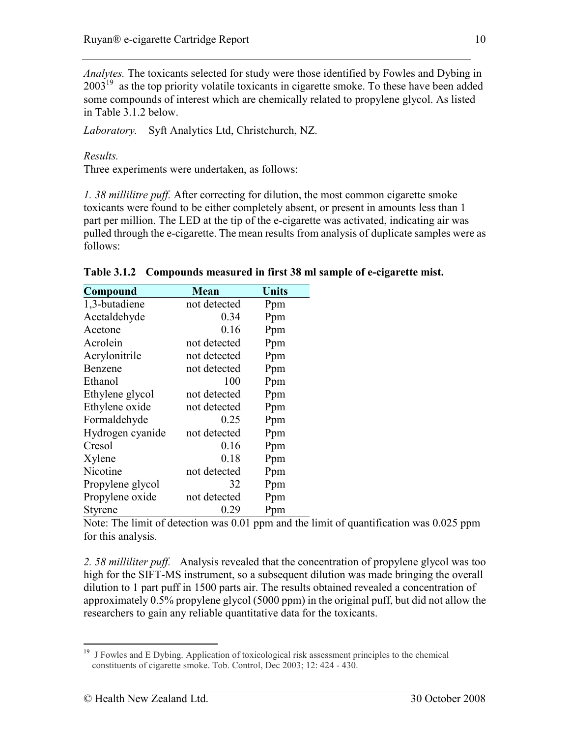Analytes. The toxicants selected for study were those identified by Fowles and Dybing in  $2003<sup>19</sup>$  as the top priority volatile toxicants in cigarette smoke. To these have been added some compounds of interest which are chemically related to propylene glycol. As listed in Table 3.1.2 below.

Laboratory. Syft Analytics Ltd, Christchurch, NZ.

Results.

Three experiments were undertaken, as follows:

1. 38 millilitre puff. After correcting for dilution, the most common cigarette smoke toxicants were found to be either completely absent, or present in amounts less than 1 part per million. The LED at the tip of the e-cigarette was activated, indicating air was pulled through the e-cigarette. The mean results from analysis of duplicate samples were as follows:

| Compound         | Mean         | <b>Units</b> |
|------------------|--------------|--------------|
| 1,3-butadiene    | not detected | Ppm          |
| Acetaldehyde     | 0.34         | Ppm          |
| Acetone          | 0.16         | Ppm          |
| Acrolein         | not detected | Ppm          |
| Acrylonitrile    | not detected | Ppm          |
| Benzene          | not detected | Ppm          |
| Ethanol          | 100          | Ppm          |
| Ethylene glycol  | not detected | Ppm          |
| Ethylene oxide   | not detected | Ppm          |
| Formaldehyde     | 0.25         | Ppm          |
| Hydrogen cyanide | not detected | Ppm          |
| Cresol           | 0.16         | Ppm          |
| Xylene           | 0.18         | Ppm          |
| Nicotine         | not detected | Ppm          |
| Propylene glycol | 32           | Ppm          |
| Propylene oxide  | not detected | Ppm          |
| Styrene          | 0.29         | Ppm          |

Table 3.1.2 Compounds measured in first 38 ml sample of e-cigarette mist.

Note: The limit of detection was 0.01 ppm and the limit of quantification was 0.025 ppm for this analysis.

2. 58 milliliter puff. Analysis revealed that the concentration of propylene glycol was too high for the SIFT-MS instrument, so a subsequent dilution was made bringing the overall dilution to 1 part puff in 1500 parts air. The results obtained revealed a concentration of approximately 0.5% propylene glycol (5000 ppm) in the original puff, but did not allow the researchers to gain any reliable quantitative data for the toxicants.

<sup>-</sup><sup>19</sup> J Fowles and E Dybing. Application of toxicological risk assessment principles to the chemical constituents of cigarette smoke. Tob. Control, Dec 2003; 12: 424 - 430.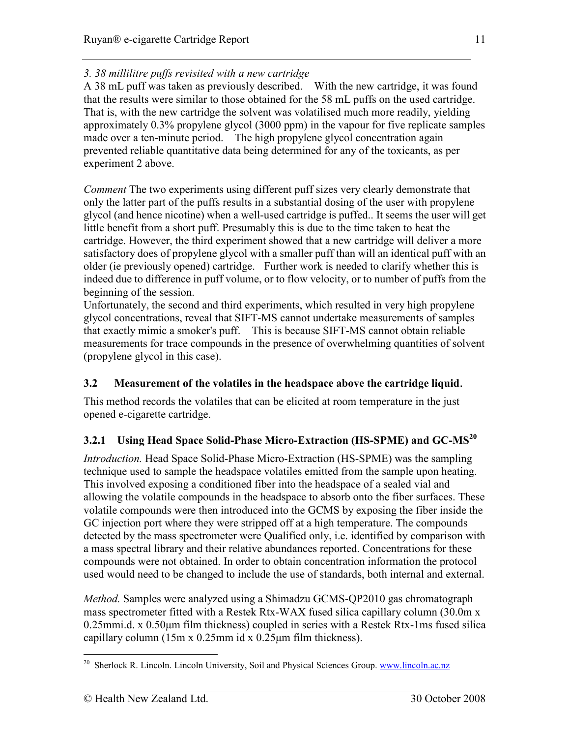## 3. 38 millilitre puffs revisited with a new cartridge

A 38 mL puff was taken as previously described. With the new cartridge, it was found that the results were similar to those obtained for the 58 mL puffs on the used cartridge. That is, with the new cartridge the solvent was volatilised much more readily, yielding approximately 0.3% propylene glycol (3000 ppm) in the vapour for five replicate samples made over a ten-minute period. The high propylene glycol concentration again prevented reliable quantitative data being determined for any of the toxicants, as per experiment 2 above.

Comment The two experiments using different puff sizes very clearly demonstrate that only the latter part of the puffs results in a substantial dosing of the user with propylene glycol (and hence nicotine) when a well-used cartridge is puffed.. It seems the user will get little benefit from a short puff. Presumably this is due to the time taken to heat the cartridge. However, the third experiment showed that a new cartridge will deliver a more satisfactory does of propylene glycol with a smaller puff than will an identical puff with an older (ie previously opened) cartridge. Further work is needed to clarify whether this is indeed due to difference in puff volume, or to flow velocity, or to number of puffs from the beginning of the session.

Unfortunately, the second and third experiments, which resulted in very high propylene glycol concentrations, reveal that SIFT-MS cannot undertake measurements of samples that exactly mimic a smoker's puff. This is because SIFT-MS cannot obtain reliable measurements for trace compounds in the presence of overwhelming quantities of solvent (propylene glycol in this case).

## 3.2 Measurement of the volatiles in the headspace above the cartridge liquid.

This method records the volatiles that can be elicited at room temperature in the just opened e-cigarette cartridge.

## 3.2.1 Using Head Space Solid-Phase Micro-Extraction (HS-SPME) and GC-MS<sup>20</sup>

Introduction. Head Space Solid-Phase Micro-Extraction (HS-SPME) was the sampling technique used to sample the headspace volatiles emitted from the sample upon heating. This involved exposing a conditioned fiber into the headspace of a sealed vial and allowing the volatile compounds in the headspace to absorb onto the fiber surfaces. These volatile compounds were then introduced into the GCMS by exposing the fiber inside the GC injection port where they were stripped off at a high temperature. The compounds detected by the mass spectrometer were Qualified only, i.e. identified by comparison with a mass spectral library and their relative abundances reported. Concentrations for these compounds were not obtained. In order to obtain concentration information the protocol used would need to be changed to include the use of standards, both internal and external.

Method. Samples were analyzed using a Shimadzu GCMS-QP2010 gas chromatograph mass spectrometer fitted with a Restek Rtx-WAX fused silica capillary column (30.0m x 0.25mmi.d. x 0.50µm film thickness) coupled in series with a Restek Rtx-1ms fused silica capillary column (15m x 0.25mm id x 0.25µm film thickness).

11

<sup>&</sup>lt;u>.</u> <sup>20</sup> Sherlock R. Lincoln. Lincoln University, Soil and Physical Sciences Group. www.lincoln.ac.nz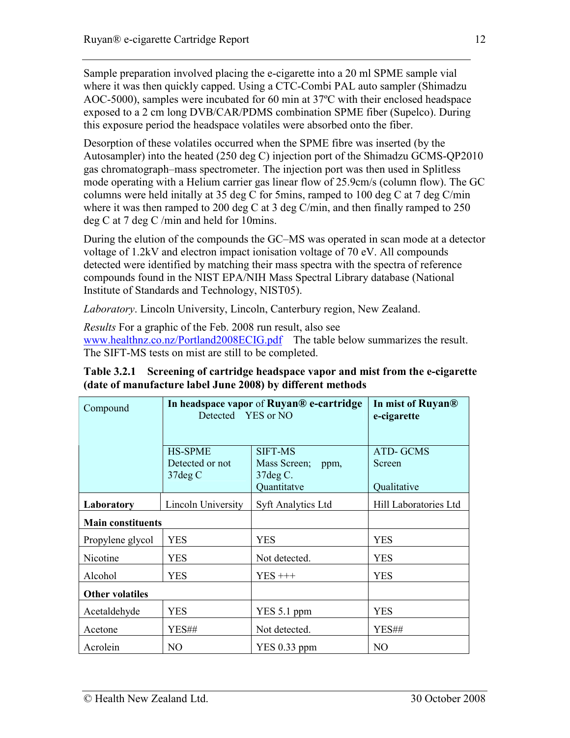Sample preparation involved placing the e-cigarette into a 20 ml SPME sample vial where it was then quickly capped. Using a CTC-Combi PAL auto sampler (Shimadzu AOC-5000), samples were incubated for 60 min at 37ºC with their enclosed headspace exposed to a 2 cm long DVB/CAR/PDMS combination SPME fiber (Supelco). During this exposure period the headspace volatiles were absorbed onto the fiber.

Desorption of these volatiles occurred when the SPME fibre was inserted (by the Autosampler) into the heated (250 deg C) injection port of the Shimadzu GCMS-QP2010 gas chromatograph–mass spectrometer. The injection port was then used in Splitless mode operating with a Helium carrier gas linear flow of 25.9cm/s (column flow). The GC columns were held initally at 35 deg C for 5mins, ramped to 100 deg C at 7 deg C/min where it was then ramped to 200 deg C at 3 deg C/min, and then finally ramped to 250 deg C at 7 deg C /min and held for 10mins.

During the elution of the compounds the GC–MS was operated in scan mode at a detector voltage of 1.2kV and electron impact ionisation voltage of 70 eV. All compounds detected were identified by matching their mass spectra with the spectra of reference compounds found in the NIST EPA/NIH Mass Spectral Library database (National Institute of Standards and Technology, NIST05).

Laboratory. Lincoln University, Lincoln, Canterbury region, New Zealand.

Results For a graphic of the Feb. 2008 run result, also see www.healthnz.co.nz/Portland2008ECIG.pdf The table below summarizes the result. The SIFT-MS tests on mist are still to be completed.

Table 3.2.1 Screening of cartridge headspace vapor and mist from the e-cigarette (date of manufacture label June 2008) by different methods

| Compound<br>Detected YES or NO   |                                   | In headspace vapor of Ruyan® e-cartridge | In mist of Ruyan <sup>®</sup><br>e-cigarette |
|----------------------------------|-----------------------------------|------------------------------------------|----------------------------------------------|
|                                  | <b>HS-SPME</b><br>Detected or not | <b>SIFT-MS</b><br>Mass Screen;<br>ppm,   | <b>ATD-GCMS</b><br>Screen                    |
|                                  | 37deg C                           | $37deg C$ .<br>Quantitatve               | Qualitative                                  |
| Lincoln University<br>Laboratory |                                   | <b>Syft Analytics Ltd</b>                | Hill Laboratories Ltd                        |
| <b>Main constituents</b>         |                                   |                                          |                                              |
| Propylene glycol                 | <b>YES</b>                        | <b>YES</b>                               | <b>YES</b>                                   |
| Nicotine                         | <b>YES</b>                        | Not detected.                            | <b>YES</b>                                   |
| Alcohol<br><b>YES</b>            |                                   | $YES+++$                                 | <b>YES</b>                                   |
| <b>Other volatiles</b>           |                                   |                                          |                                              |
| <b>YES</b><br>Acetaldehyde       |                                   | YES 5.1 ppm                              | <b>YES</b>                                   |
| YES##<br>Acetone                 |                                   | Not detected.                            | YES##                                        |
| Acrolein<br>NO.                  |                                   | $YES\ 0.33$ ppm                          | NO                                           |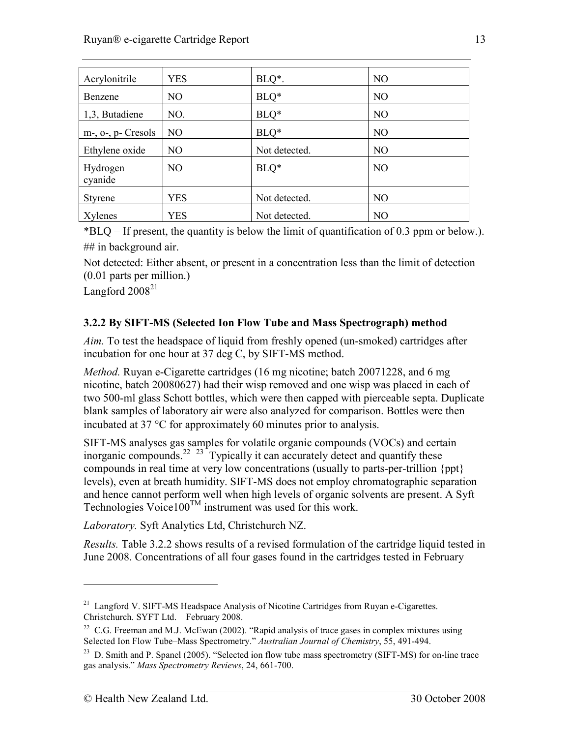| Acrylonitrile       | <b>YES</b>     | $BLQ^*$ .     | N <sub>O</sub> |
|---------------------|----------------|---------------|----------------|
| Benzene             | N <sub>O</sub> | $BLQ*$        | N <sub>O</sub> |
| 1,3, Butadiene      | NO.            | $BLQ*$        | N <sub>O</sub> |
| m-, o-, p- Cresols  | N <sub>O</sub> | $BLQ*$        | N <sub>O</sub> |
| Ethylene oxide      | N <sub>O</sub> | Not detected. | N <sub>O</sub> |
| Hydrogen<br>cyanide | N <sub>O</sub> | $BLQ*$        | N <sub>O</sub> |
| <b>Styrene</b>      | <b>YES</b>     | Not detected. | N <sub>O</sub> |
| Xylenes             | <b>YES</b>     | Not detected. | N <sub>O</sub> |

\*BLQ – If present, the quantity is below the limit of quantification of 0.3 ppm or below.). ## in background air.

Not detected: Either absent, or present in a concentration less than the limit of detection (0.01 parts per million.)

Langford  $2008^{21}$ 

## 3.2.2 By SIFT-MS (Selected Ion Flow Tube and Mass Spectrograph) method

Aim. To test the headspace of liquid from freshly opened (un-smoked) cartridges after incubation for one hour at 37 deg C, by SIFT-MS method.

Method. Ruyan e-Cigarette cartridges (16 mg nicotine; batch 20071228, and 6 mg nicotine, batch 20080627) had their wisp removed and one wisp was placed in each of two 500-ml glass Schott bottles, which were then capped with pierceable septa. Duplicate blank samples of laboratory air were also analyzed for comparison. Bottles were then incubated at 37 °C for approximately 60 minutes prior to analysis.

SIFT-MS analyses gas samples for volatile organic compounds (VOCs) and certain inorganic compounds.<sup>22</sup>  $23$  Typically it can accurately detect and quantify these compounds in real time at very low concentrations (usually to parts-per-trillion {ppt} levels), even at breath humidity. SIFT-MS does not employ chromatographic separation and hence cannot perform well when high levels of organic solvents are present. A Syft Technologies Voice100<sup>TM</sup> instrument was used for this work.

Laboratory. Syft Analytics Ltd, Christchurch NZ.

Results. Table 3.2.2 shows results of a revised formulation of the cartridge liquid tested in June 2008. Concentrations of all four gases found in the cartridges tested in February

-

<sup>&</sup>lt;sup>21</sup> Langford V. SIFT-MS Headspace Analysis of Nicotine Cartridges from Ruyan e-Cigarettes. Christchurch. SYFT Ltd. February 2008.

 $22$  C.G. Freeman and M.J. McEwan (2002). "Rapid analysis of trace gases in complex mixtures using Selected Ion Flow Tube–Mass Spectrometry." Australian Journal of Chemistry, 55, 491-494.

 $^{23}$  D. Smith and P. Spanel (2005). "Selected ion flow tube mass spectrometry (SIFT-MS) for on-line trace gas analysis." Mass Spectrometry Reviews, 24, 661-700.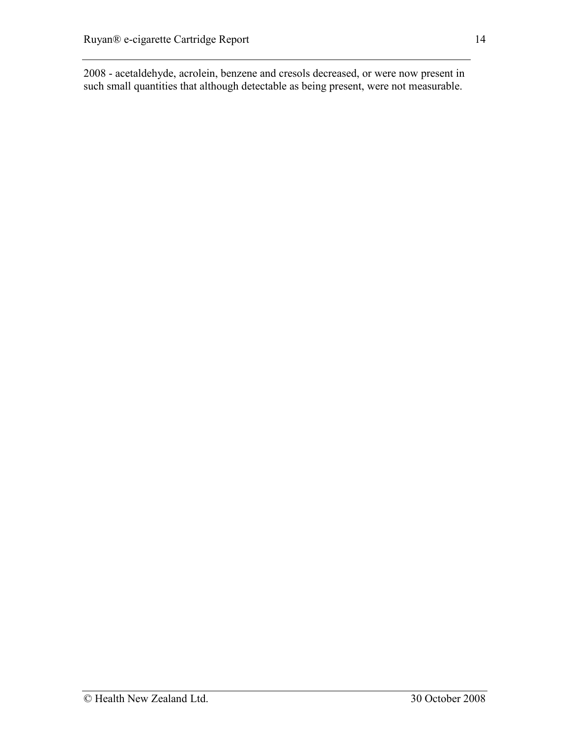2008 - acetaldehyde, acrolein, benzene and cresols decreased, or were now present in such small quantities that although detectable as being present, were not measurable.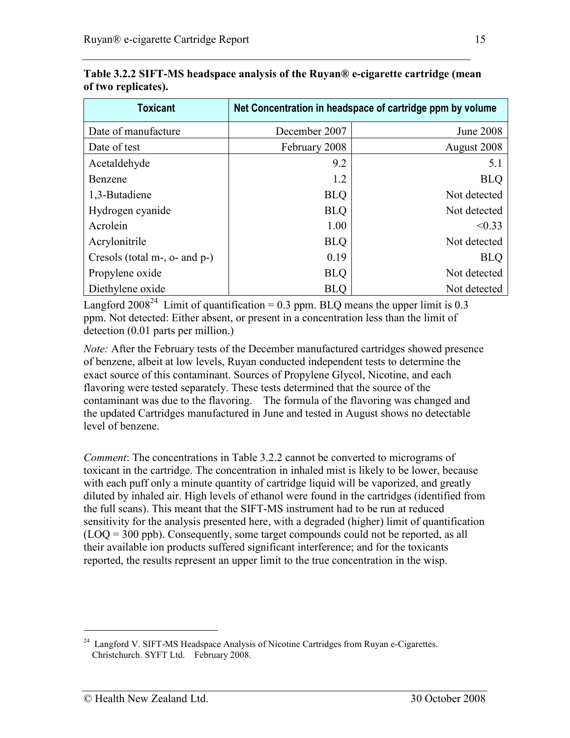| <b>Toxicant</b>               | Net Concentration in headspace of cartridge ppm by volume |                  |  |  |
|-------------------------------|-----------------------------------------------------------|------------------|--|--|
| Date of manufacture           | December 2007                                             | <b>June 2008</b> |  |  |
| Date of test                  | February 2008                                             | August 2008      |  |  |
| Acetaldehyde                  | 9.2                                                       | 5.1              |  |  |
| Benzene                       | 1.2                                                       | <b>BLQ</b>       |  |  |
| 1,3-Butadiene                 | <b>BLQ</b>                                                | Not detected     |  |  |
| Hydrogen cyanide              | <b>BLQ</b>                                                | Not detected     |  |  |
| Acrolein                      | 1.00                                                      | < 0.33           |  |  |
| Acrylonitrile                 | <b>BLQ</b>                                                | Not detected     |  |  |
| Cresols (total m-, o- and p-) | 0.19                                                      | <b>BLQ</b>       |  |  |
| Propylene oxide               | <b>BLQ</b>                                                | Not detected     |  |  |
| Diethylene oxide              | <b>BLQ</b>                                                | Not detected     |  |  |

Table 3.2.2 SIFT-MS headspace analysis of the Ruyan® e-cigarette cartridge (mean of two replicates).

Langford 2008<sup>24</sup> Limit of quantification = 0.3 ppm. BLQ means the upper limit is 0.3 ppm. Not detected: Either absent, or present in a concentration less than the limit of detection (0.01 parts per million.)

Note: After the February tests of the December manufactured cartridges showed presence of benzene, albeit at low levels, Ruyan conducted independent tests to determine the exact source of this contaminant. Sources of Propylene Glycol, Nicotine, and each flavoring were tested separately. These tests determined that the source of the contaminant was due to the flavoring. The formula of the flavoring was changed and the updated Cartridges manufactured in June and tested in August shows no detectable level of benzene.

Comment: The concentrations in Table 3.2.2 cannot be converted to micrograms of toxicant in the cartridge. The concentration in inhaled mist is likely to be lower, because with each puff only a minute quantity of cartridge liquid will be vaporized, and greatly diluted by inhaled air. High levels of ethanol were found in the cartridges (identified from the full scans). This meant that the SIFT-MS instrument had to be run at reduced sensitivity for the analysis presented here, with a degraded (higher) limit of quantification (LOQ = 300 ppb). Consequently, some target compounds could not be reported, as all their available ion products suffered significant interference; and for the toxicants reported, the results represent an upper limit to the true concentration in the wisp.

<u>.</u>

<sup>&</sup>lt;sup>24</sup> Langford V. SIFT-MS Headspace Analysis of Nicotine Cartridges from Ruyan e-Cigarettes. Christchurch. SYFT Ltd. February 2008.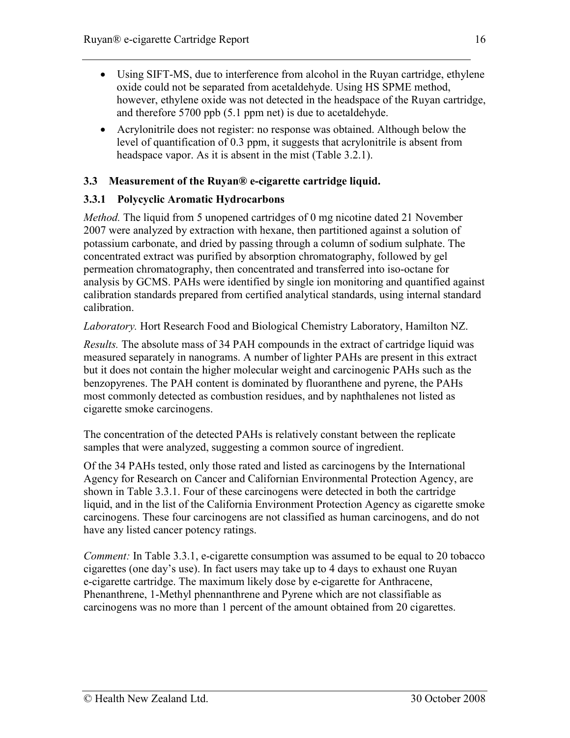- Using SIFT-MS, due to interference from alcohol in the Ruyan cartridge, ethylene oxide could not be separated from acetaldehyde. Using HS SPME method, however, ethylene oxide was not detected in the headspace of the Ruyan cartridge, and therefore 5700 ppb (5.1 ppm net) is due to acetaldehyde.
- Acrylonitrile does not register: no response was obtained. Although below the level of quantification of 0.3 ppm, it suggests that acrylonitrile is absent from headspace vapor. As it is absent in the mist (Table 3.2.1).

### 3.3 Measurement of the Ruyan® e-cigarette cartridge liquid.

## 3.3.1 Polycyclic Aromatic Hydrocarbons

*Method*. The liquid from 5 unopened cartridges of 0 mg nicotine dated 21 November 2007 were analyzed by extraction with hexane, then partitioned against a solution of potassium carbonate, and dried by passing through a column of sodium sulphate. The concentrated extract was purified by absorption chromatography, followed by gel permeation chromatography, then concentrated and transferred into iso-octane for analysis by GCMS. PAHs were identified by single ion monitoring and quantified against calibration standards prepared from certified analytical standards, using internal standard calibration.

Laboratory. Hort Research Food and Biological Chemistry Laboratory, Hamilton NZ.

Results. The absolute mass of 34 PAH compounds in the extract of cartridge liquid was measured separately in nanograms. A number of lighter PAHs are present in this extract but it does not contain the higher molecular weight and carcinogenic PAHs such as the benzopyrenes. The PAH content is dominated by fluoranthene and pyrene, the PAHs most commonly detected as combustion residues, and by naphthalenes not listed as cigarette smoke carcinogens.

The concentration of the detected PAHs is relatively constant between the replicate samples that were analyzed, suggesting a common source of ingredient.

Of the 34 PAHs tested, only those rated and listed as carcinogens by the International Agency for Research on Cancer and Californian Environmental Protection Agency, are shown in Table 3.3.1. Four of these carcinogens were detected in both the cartridge liquid, and in the list of the California Environment Protection Agency as cigarette smoke carcinogens. These four carcinogens are not classified as human carcinogens, and do not have any listed cancer potency ratings.

Comment: In Table 3.3.1, e-cigarette consumption was assumed to be equal to 20 tobacco cigarettes (one day's use). In fact users may take up to 4 days to exhaust one Ruyan e-cigarette cartridge. The maximum likely dose by e-cigarette for Anthracene, Phenanthrene, 1-Methyl phennanthrene and Pyrene which are not classifiable as carcinogens was no more than 1 percent of the amount obtained from 20 cigarettes.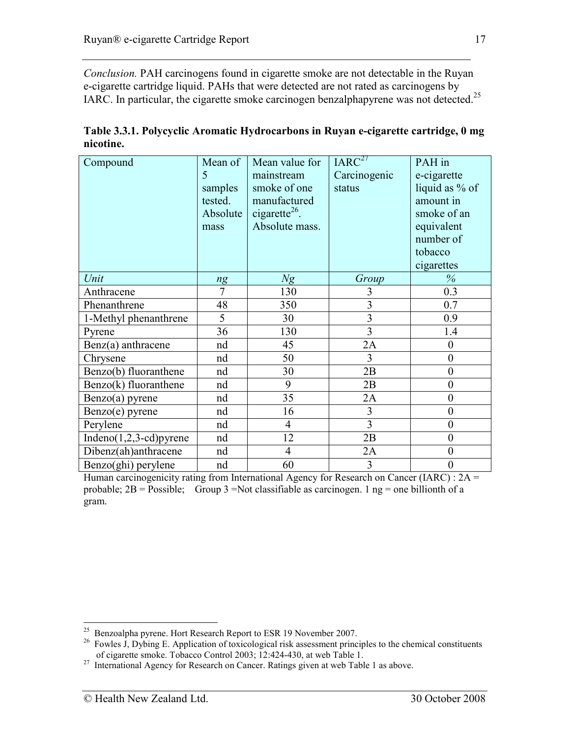Conclusion. PAH carcinogens found in cigarette smoke are not detectable in the Ruyan e-cigarette cartridge liquid. PAHs that were detected are not rated as carcinogens by IARC. In particular, the cigarette smoke carcinogen benzalphapyrene was not detected.<sup>25</sup>

| Compound                    | Mean of<br>5<br>samples<br>tested.<br>Absolute<br>mass | Mean value for<br>mainstream<br>smoke of one<br>manufactured<br>cigarette <sup>26</sup> .<br>Absolute mass. | IARC <sup>27</sup><br>Carcinogenic<br>status | PAH in<br>e-cigarette<br>liquid as % of<br>amount in<br>smoke of an<br>equivalent<br>number of<br>tobacco<br>cigarettes |
|-----------------------------|--------------------------------------------------------|-------------------------------------------------------------------------------------------------------------|----------------------------------------------|-------------------------------------------------------------------------------------------------------------------------|
| Unit                        | ng                                                     | Ng                                                                                                          | Group                                        | $\%$                                                                                                                    |
| Anthracene                  | 7                                                      | 130                                                                                                         | 3                                            | 0.3                                                                                                                     |
| Phenanthrene                | 48                                                     | 350                                                                                                         | $\overline{\mathbf{3}}$                      | 0.7                                                                                                                     |
| 1-Methyl phenanthrene       | 5                                                      | 30                                                                                                          | $\overline{3}$                               | 0.9                                                                                                                     |
| Pyrene                      | 36                                                     | 130                                                                                                         | 3                                            | 1.4                                                                                                                     |
| $Benz(a)$ anthracene        | nd                                                     | 45                                                                                                          | 2A                                           | $\overline{0}$                                                                                                          |
| Chrysene                    | nd                                                     | 50                                                                                                          | 3                                            | $\overline{0}$                                                                                                          |
| Benzo(b) fluoranthene       | nd                                                     | 30                                                                                                          | 2B                                           | $\boldsymbol{0}$                                                                                                        |
| $Benzo(k)$ fluoranthene     | nd                                                     | 9                                                                                                           | 2B                                           | $\overline{0}$                                                                                                          |
| $Benzo(a)$ pyrene           | nd                                                     | 35                                                                                                          | 2A                                           | $\boldsymbol{0}$                                                                                                        |
| Benzo(e) pyrene             | nd                                                     | 16                                                                                                          | 3                                            | $\overline{0}$                                                                                                          |
| Perylene                    | nd                                                     | $\overline{4}$                                                                                              | 3                                            | $\overline{0}$                                                                                                          |
| Indeno $(1,2,3$ -cd) pyrene | nd                                                     | 12                                                                                                          | 2B                                           | $\overline{0}$                                                                                                          |
| Dibenz(ah)anthracene        | nd                                                     | $\overline{4}$                                                                                              | 2A                                           | $\boldsymbol{0}$                                                                                                        |
| Benzo(ghi) perylene         | nd                                                     | 60                                                                                                          | 3                                            | $\boldsymbol{0}$                                                                                                        |

Table 3.3.1. Polycyclic Aromatic Hydrocarbons in Ruyan e-cigarette cartridge, 0 mg nicotine.

Human carcinogenicity rating from International Agency for Research on Cancer (IARC) : 2A = probable;  $2B = \text{Possible}$ ; Group 3 =Not classifiable as carcinogen. 1 ng = one billionth of a gram.

<sup>-</sup> $25$  Benzoalpha pyrene. Hort Research Report to ESR 19 November 2007.

<sup>&</sup>lt;sup>26</sup> Fowles J, Dybing E. Application of toxicological risk assessment principles to the chemical constituents of cigarette smoke. Tobacco Control 2003; 12:424-430, at web Table 1.

 $27$  International Agency for Research on Cancer. Ratings given at web Table 1 as above.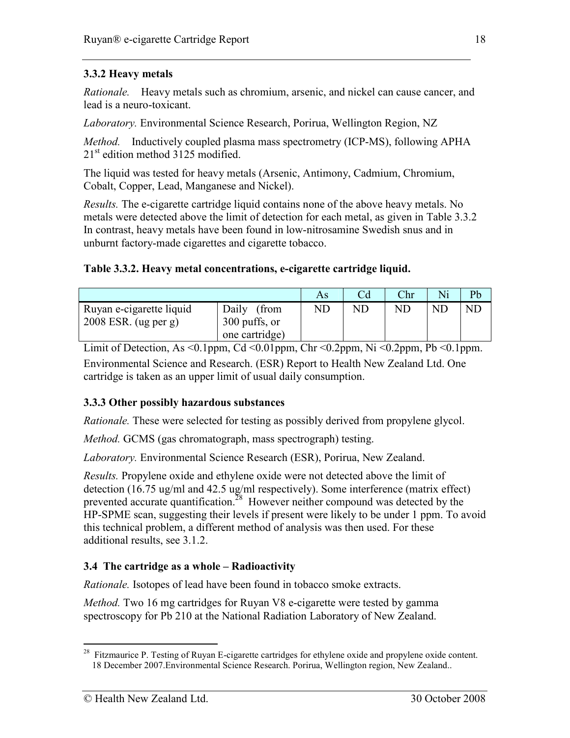### 3.3.2 Heavy metals

Rationale. Heavy metals such as chromium, arsenic, and nickel can cause cancer, and lead is a neuro-toxicant.

Laboratory. Environmental Science Research, Porirua, Wellington Region, NZ

Method. Inductively coupled plasma mass spectrometry (ICP-MS), following APHA  $21<sup>st</sup>$  edition method 3125 modified.

The liquid was tested for heavy metals (Arsenic, Antimony, Cadmium, Chromium, Cobalt, Copper, Lead, Manganese and Nickel).

Results. The e-cigarette cartridge liquid contains none of the above heavy metals. No metals were detected above the limit of detection for each metal, as given in Table 3.3.2 In contrast, heavy metals have been found in low-nitrosamine Swedish snus and in unburnt factory-made cigarettes and cigarette tobacco.

#### Table 3.3.2. Heavy metal concentrations, e-cigarette cartridge liquid.

|                          |                | As |    | Chr | Ni  | Pb |
|--------------------------|----------------|----|----|-----|-----|----|
| Ruyan e-cigarette liquid | Daily<br>(from | ND | ND | NE  | ND. | ND |
| $2008$ ESR. (ug per g)   | 300 puffs, or  |    |    |     |     |    |
|                          | one cartridge) |    |    |     |     |    |

Limit of Detection, As <0.1ppm, Cd <0.01ppm, Chr <0.2ppm, Ni <0.2ppm, Pb <0.1ppm. Environmental Science and Research. (ESR) Report to Health New Zealand Ltd. One cartridge is taken as an upper limit of usual daily consumption.

#### 3.3.3 Other possibly hazardous substances

Rationale. These were selected for testing as possibly derived from propylene glycol.

Method. GCMS (gas chromatograph, mass spectrograph) testing.

Laboratory. Environmental Science Research (ESR), Porirua, New Zealand.

Results. Propylene oxide and ethylene oxide were not detected above the limit of detection (16.75 ug/ml and 42.5 ug/ml respectively). Some interference (matrix effect) prevented accurate quantification.<sup>28</sup> However neither compound was detected by the HP-SPME scan, suggesting their levels if present were likely to be under 1 ppm. To avoid this technical problem, a different method of analysis was then used. For these additional results, see 3.1.2.

#### 3.4 The cartridge as a whole – Radioactivity

Rationale. Isotopes of lead have been found in tobacco smoke extracts.

Method. Two 16 mg cartridges for Ruyan V8 e-cigarette were tested by gamma spectroscopy for Pb 210 at the National Radiation Laboratory of New Zealand.

<sup>-</sup> $2^8$  Fitzmaurice P. Testing of Ruyan E-cigarette cartridges for ethylene oxide and propylene oxide content. 18 December 2007.Environmental Science Research. Porirua, Wellington region, New Zealand..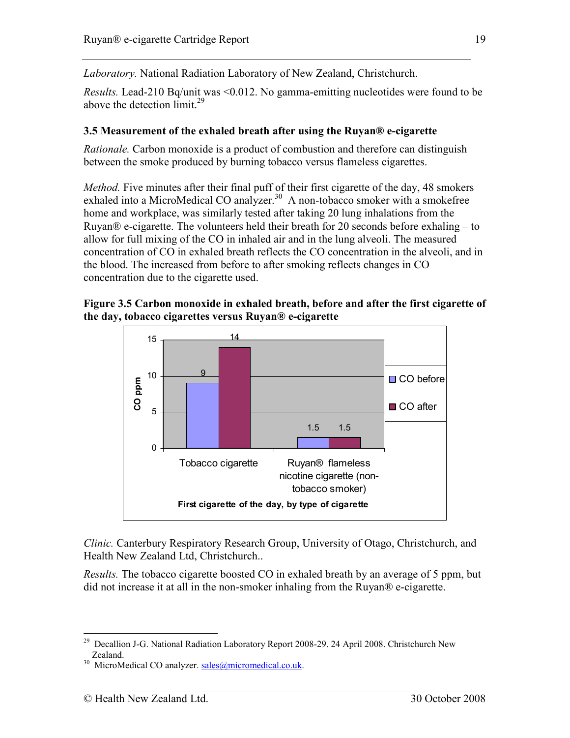Laboratory. National Radiation Laboratory of New Zealand, Christchurch.

Results. Lead-210 Bq/unit was <0.012. No gamma-emitting nucleotides were found to be above the detection  $\lim_{x \to 29}$ 

### 3.5 Measurement of the exhaled breath after using the Ruyan® e-cigarette

Rationale. Carbon monoxide is a product of combustion and therefore can distinguish between the smoke produced by burning tobacco versus flameless cigarettes.

Method. Five minutes after their final puff of their first cigarette of the day, 48 smokers exhaled into a MicroMedical CO analyzer.<sup>30</sup> A non-tobacco smoker with a smokefree home and workplace, was similarly tested after taking 20 lung inhalations from the Ruyan® e-cigarette. The volunteers held their breath for 20 seconds before exhaling – to allow for full mixing of the CO in inhaled air and in the lung alveoli. The measured concentration of CO in exhaled breath reflects the CO concentration in the alveoli, and in the blood. The increased from before to after smoking reflects changes in CO concentration due to the cigarette used.

#### Figure 3.5 Carbon monoxide in exhaled breath, before and after the first cigarette of the day, tobacco cigarettes versus Ruyan® e-cigarette



Clinic. Canterbury Respiratory Research Group, University of Otago, Christchurch, and Health New Zealand Ltd, Christchurch..

Results. The tobacco cigarette boosted CO in exhaled breath by an average of 5 ppm, but did not increase it at all in the non-smoker inhaling from the Ruyan® e-cigarette.

<sup>&</sup>lt;u>.</u> <sup>29</sup> Decallion J-G. National Radiation Laboratory Report 2008-29. 24 April 2008. Christchurch New Zealand.

MicroMedical CO analyzer. sales@micromedical.co.uk.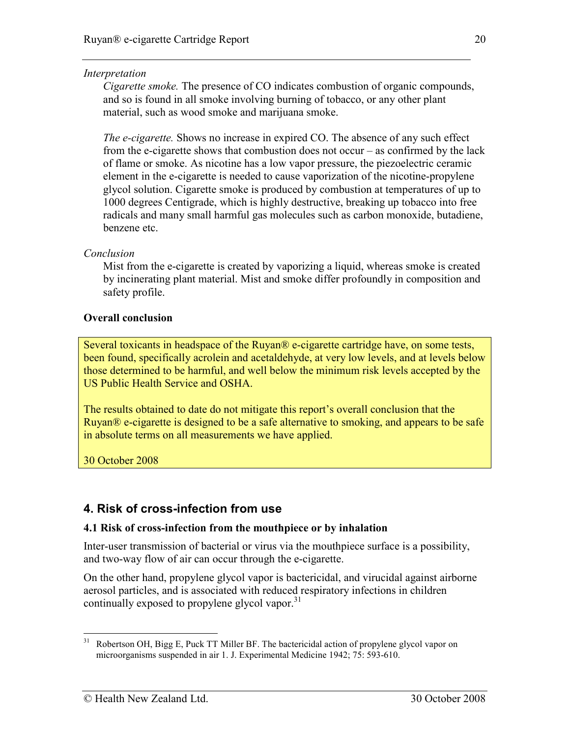#### **Interpretation**

Cigarette smoke. The presence of CO indicates combustion of organic compounds, and so is found in all smoke involving burning of tobacco, or any other plant material, such as wood smoke and marijuana smoke.

The e-cigarette. Shows no increase in expired CO. The absence of any such effect from the e-cigarette shows that combustion does not occur – as confirmed by the lack of flame or smoke. As nicotine has a low vapor pressure, the piezoelectric ceramic element in the e-cigarette is needed to cause vaporization of the nicotine-propylene glycol solution. Cigarette smoke is produced by combustion at temperatures of up to 1000 degrees Centigrade, which is highly destructive, breaking up tobacco into free radicals and many small harmful gas molecules such as carbon monoxide, butadiene, benzene etc.

#### Conclusion

 Mist from the e-cigarette is created by vaporizing a liquid, whereas smoke is created by incinerating plant material. Mist and smoke differ profoundly in composition and safety profile.

#### Overall conclusion

Several toxicants in headspace of the Ruyan® e-cigarette cartridge have, on some tests, been found, specifically acrolein and acetaldehyde, at very low levels, and at levels below those determined to be harmful, and well below the minimum risk levels accepted by the US Public Health Service and OSHA.

The results obtained to date do not mitigate this report's overall conclusion that the Ruyan® e-cigarette is designed to be a safe alternative to smoking, and appears to be safe in absolute terms on all measurements we have applied.

30 October 2008

# 4. Risk of cross-infection from use

#### 4.1 Risk of cross-infection from the mouthpiece or by inhalation

Inter-user transmission of bacterial or virus via the mouthpiece surface is a possibility, and two-way flow of air can occur through the e-cigarette.

On the other hand, propylene glycol vapor is bactericidal, and virucidal against airborne aerosol particles, and is associated with reduced respiratory infections in children continually exposed to propylene glycol vapor.<sup>31</sup>

<sup>31</sup> <sup>31</sup> Robertson OH, Bigg E, Puck TT Miller BF. The bactericidal action of propylene glycol vapor on microorganisms suspended in air 1. J. Experimental Medicine 1942; 75: 593-610.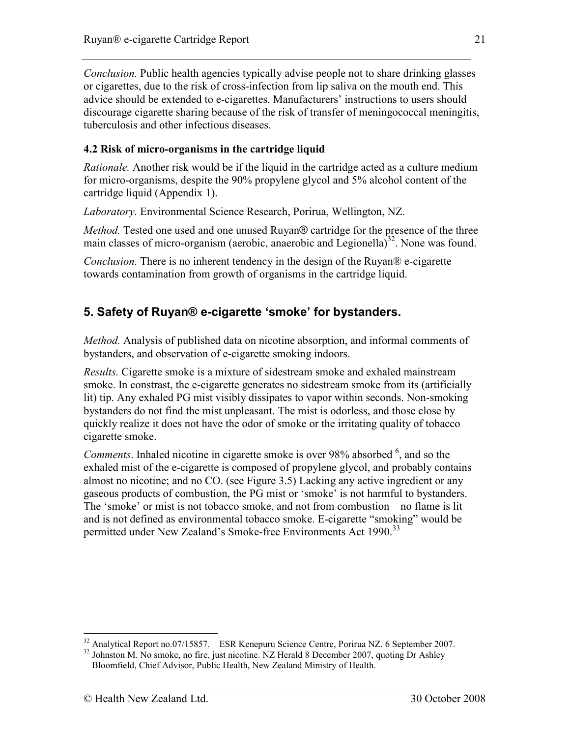Conclusion. Public health agencies typically advise people not to share drinking glasses or cigarettes, due to the risk of cross-infection from lip saliva on the mouth end. This advice should be extended to e-cigarettes. Manufacturers' instructions to users should discourage cigarette sharing because of the risk of transfer of meningococcal meningitis, tuberculosis and other infectious diseases.

### 4.2 Risk of micro-organisms in the cartridge liquid

Rationale. Another risk would be if the liquid in the cartridge acted as a culture medium for micro-organisms, despite the 90% propylene glycol and 5% alcohol content of the cartridge liquid (Appendix 1).

Laboratory. Environmental Science Research, Porirua, Wellington, NZ.

Method. Tested one used and one unused Ruyan® cartridge for the presence of the three main classes of micro-organism (aerobic, anaerobic and Legionella)<sup>32</sup>. None was found.

Conclusion. There is no inherent tendency in the design of the Ruyan® e-cigarette towards contamination from growth of organisms in the cartridge liquid.

# 5. Safety of Ruyan® e-cigarette 'smoke' for bystanders.

Method. Analysis of published data on nicotine absorption, and informal comments of bystanders, and observation of e-cigarette smoking indoors.

Results. Cigarette smoke is a mixture of sidestream smoke and exhaled mainstream smoke. In constrast, the e-cigarette generates no sidestream smoke from its (artificially lit) tip. Any exhaled PG mist visibly dissipates to vapor within seconds. Non-smoking bystanders do not find the mist unpleasant. The mist is odorless, and those close by quickly realize it does not have the odor of smoke or the irritating quality of tobacco cigarette smoke.

*Comments*. Inhaled nicotine in cigarette smoke is over 98% absorbed  $<sup>6</sup>$ , and so the</sup> exhaled mist of the e-cigarette is composed of propylene glycol, and probably contains almost no nicotine; and no CO. (see Figure 3.5) Lacking any active ingredient or any gaseous products of combustion, the PG mist or 'smoke' is not harmful to bystanders. The 'smoke' or mist is not tobacco smoke, and not from combustion – no flame is lit – and is not defined as environmental tobacco smoke. E-cigarette "smoking" would be permitted under New Zealand's Smoke-free Environments Act 1990.<sup>33</sup>

<sup>&</sup>lt;u>.</u> <sup>32</sup> Analytical Report no.07/15857. ESR Kenepuru Science Centre, Porirua NZ. 6 September 2007. <sup>32</sup> Johnston M. No smoke, no fire, just nicotine. NZ Herald 8 December 2007, quoting Dr Ashley

Bloomfield, Chief Advisor, Public Health, New Zealand Ministry of Health.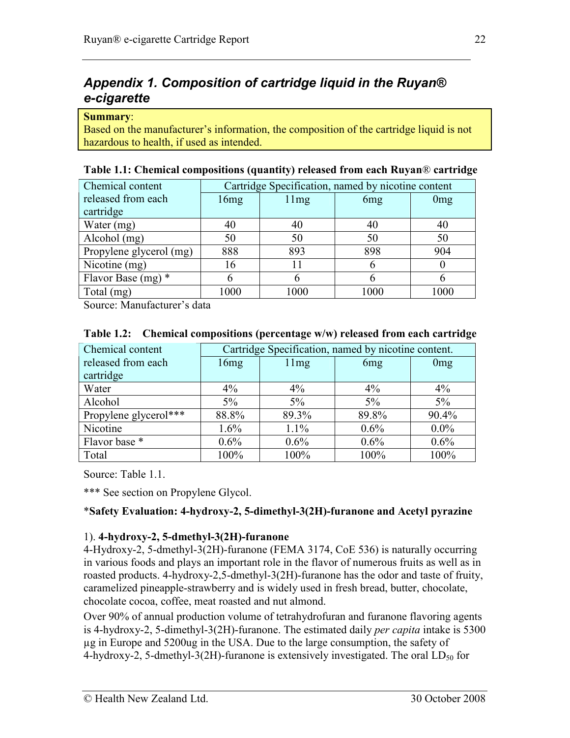# Appendix 1. Composition of cartridge liquid in the Ruyan® e-cigarette

#### Summary:

Based on the manufacturer's information, the composition of the cartridge liquid is not hazardous to health, if used as intended.

| Chemical content        | Cartridge Specification, named by nicotine content |      |                 |                 |
|-------------------------|----------------------------------------------------|------|-----------------|-----------------|
| released from each      | 16mg                                               | 11mg | 6 <sub>mg</sub> | 0 <sub>mg</sub> |
| cartridge               |                                                    |      |                 |                 |
| Water (mg)              | 40                                                 | 40   | 40              | 40              |
| Alcohol (mg)            | 50                                                 | 50   | 50              | 50              |
| Propylene glycerol (mg) | 888                                                | 893  | 898             | 904             |
| Nicotine (mg)           | 16                                                 |      |                 |                 |
| Flavor Base $(mg)$ *    | 6                                                  |      |                 | h               |
| Total (mg)              | 1000                                               | 1000 | 1000            | 1000            |

#### Table 1.1: Chemical compositions (quantity) released from each Ruyan® cartridge

Source: Manufacturer's data

| Chemical content      | Cartridge Specification, named by nicotine content. |         |                 |                 |  |  |
|-----------------------|-----------------------------------------------------|---------|-----------------|-----------------|--|--|
| released from each    | 16mg                                                | 11mg    | 6 <sub>mg</sub> | 0 <sub>mg</sub> |  |  |
| cartridge             |                                                     |         |                 |                 |  |  |
| Water                 | $4\%$                                               | $4\%$   | $4\%$           | $4\%$           |  |  |
| Alcohol               | $5\%$                                               | $5\%$   | 5%              | $5\%$           |  |  |
| Propylene glycerol*** | 88.8%                                               | 89.3%   | 89.8%           | 90.4%           |  |  |
| Nicotine              | 1.6%                                                | 1.1%    | $0.6\%$         | $0.0\%$         |  |  |
| Flavor base *         | $0.6\%$                                             | $0.6\%$ | $0.6\%$         | $0.6\%$         |  |  |
| Total                 | 100%                                                | 100%    | 100%            | 100%            |  |  |

#### Table 1.2: Chemical compositions (percentage w/w) released from each cartridge

Source: Table 1.1.

\*\*\* See section on Propylene Glycol.

#### \*Safety Evaluation: 4-hydroxy-2, 5-dimethyl-3(2H)-furanone and Acetyl pyrazine

#### 1). 4-hydroxy-2, 5-dmethyl-3(2H)-furanone

4-Hydroxy-2, 5-dmethyl-3(2H)-furanone (FEMA 3174, CoE 536) is naturally occurring in various foods and plays an important role in the flavor of numerous fruits as well as in roasted products. 4-hydroxy-2,5-dmethyl-3(2H)-furanone has the odor and taste of fruity, caramelized pineapple-strawberry and is widely used in fresh bread, butter, chocolate, chocolate cocoa, coffee, meat roasted and nut almond.

Over 90% of annual production volume of tetrahydrofuran and furanone flavoring agents is 4-hydroxy-2, 5-dimethyl-3(2H)-furanone. The estimated daily per capita intake is 5300 µg in Europe and 5200ug in the USA. Due to the large consumption, the safety of 4-hydroxy-2, 5-dmethyl-3(2H)-furanone is extensively investigated. The oral  $LD_{50}$  for